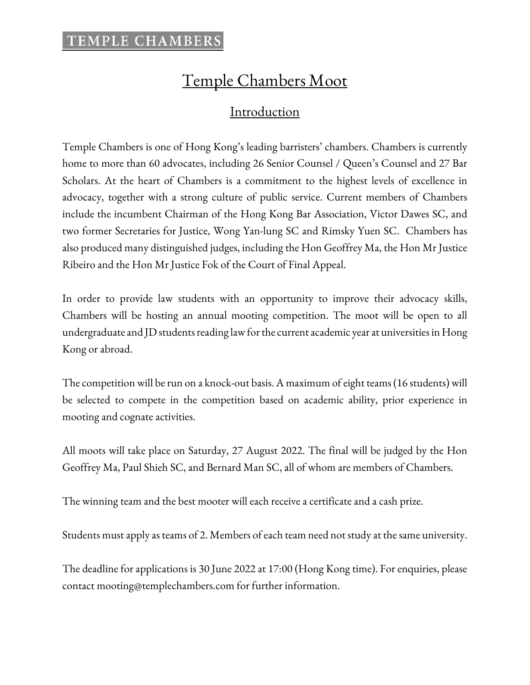# Temple Chambers Moot

### Introduction

Temple Chambers is one of Hong Kong's leading barristers' chambers. Chambers is currently home to more than 60 advocates, including 26 Senior Counsel / Queen's Counsel and 27 Bar Scholars. At the heart of Chambers is a commitment to the highest levels of excellence in advocacy, together with a strong culture of public service. Current members of Chambers include the incumbent Chairman of the Hong Kong Bar Association, Victor Dawes SC, and two former Secretaries for Justice, Wong Yan-lung SC and Rimsky Yuen SC. Chambers has also produced many distinguished judges, including the Hon Geoffrey Ma, the Hon Mr Justice Ribeiro and the Hon Mr Justice Fok of the Court of Final Appeal.

In order to provide law students with an opportunity to improve their advocacy skills, Chambers will be hosting an annual mooting competition. The moot will be open to all undergraduate and JD students reading law for the current academic year at universities in Hong Kong or abroad.

The competition will be run on a knock-out basis. A maximum of eight teams (16 students) will be selected to compete in the competition based on academic ability, prior experience in mooting and cognate activities.

All moots will take place on Saturday, 27 August 2022. The final will be judged by the Hon Geoffrey Ma, Paul Shieh SC, and Bernard Man SC, all of whom are members of Chambers.

The winning team and the best mooter will each receive a certificate and a cash prize.

Students must apply as teams of 2. Members of each team need not study at the same university.

The deadline for applications is 30 June 2022 at 17:00 (Hong Kong time). For enquiries, please contact mooting@templechambers.com for further information.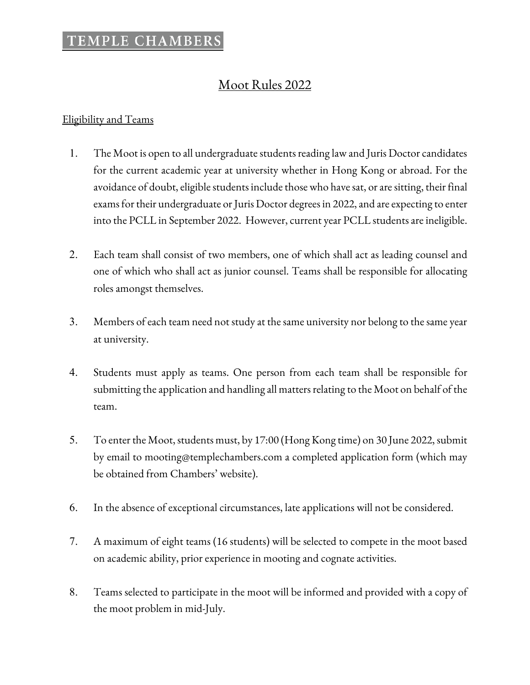### Moot Rules 2022

#### Eligibility and Teams

- 1. The Moot is open to all undergraduate students reading law and Juris Doctor candidates for the current academic year at university whether in Hong Kong or abroad. For the avoidance of doubt, eligible students include those who have sat, or are sitting, their final exams for their undergraduate or Juris Doctor degrees in 2022, and are expecting to enter into the PCLL in September 2022. However, current year PCLL students are ineligible.
- 2. Each team shall consist of two members, one of which shall act as leading counsel and one of which who shall act as junior counsel. Teams shall be responsible for allocating roles amongst themselves.
- 3. Members of each team need not study at the same university nor belong to the same year at university.
- 4. Students must apply as teams. One person from each team shall be responsible for submitting the application and handling all matters relating to the Moot on behalf of the team.
- 5. To enter the Moot, students must, by 17:00 (Hong Kong time) on 30 June 2022, submit by email to mooting@templechambers.com a completed application form (which may be obtained from Chambers' website).
- 6. In the absence of exceptional circumstances, late applications will not be considered.
- 7. A maximum of eight teams (16 students) will be selected to compete in the moot based on academic ability, prior experience in mooting and cognate activities.
- 8. Teams selected to participate in the moot will be informed and provided with a copy of the moot problem in mid-July.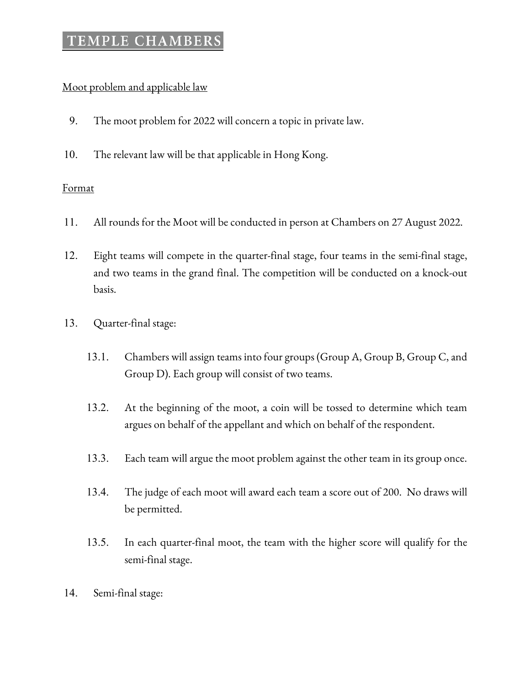### Moot problem and applicable law

- 9. The moot problem for 2022 will concern a topic in private law.
- 10. The relevant law will be that applicable in Hong Kong.

### Format

- 11. All rounds for the Moot will be conducted in person at Chambers on 27 August 2022.
- 12. Eight teams will compete in the quarter-final stage, four teams in the semi-final stage, and two teams in the grand final. The competition will be conducted on a knock-out basis.
- 13. Quarter-final stage:
	- 13.1. Chambers will assign teams into four groups (Group A, Group B, Group C, and Group D). Each group will consist of two teams.
	- 13.2. At the beginning of the moot, a coin will be tossed to determine which team argues on behalf of the appellant and which on behalf of the respondent.
	- 13.3. Each team will argue the moot problem against the other team in its group once.
	- 13.4. The judge of each moot will award each team a score out of 200. No draws will be permitted.
	- 13.5. In each quarter-final moot, the team with the higher score will qualify for the semi-final stage.
- 14. Semi-final stage: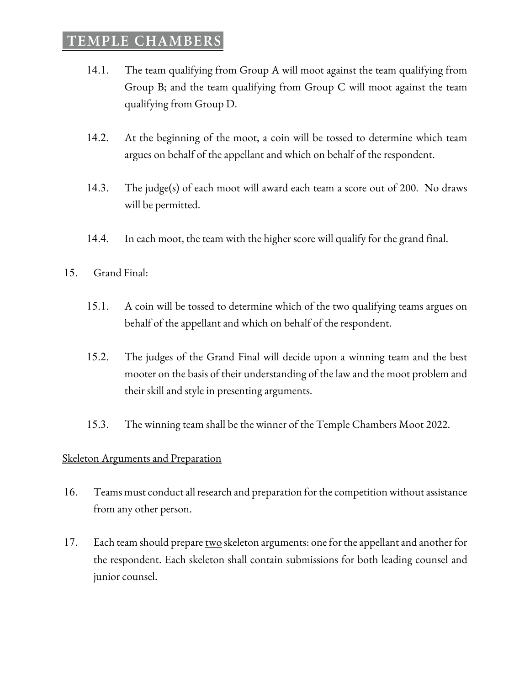- 14.1. The team qualifying from Group A will moot against the team qualifying from Group B; and the team qualifying from Group C will moot against the team qualifying from Group D.
- 14.2. At the beginning of the moot, a coin will be tossed to determine which team argues on behalf of the appellant and which on behalf of the respondent.
- 14.3. The judge(s) of each moot will award each team a score out of 200. No draws will be permitted.
- 14.4. In each moot, the team with the higher score will qualify for the grand final.
- 15. Grand Final:
	- 15.1. A coin will be tossed to determine which of the two qualifying teams argues on behalf of the appellant and which on behalf of the respondent.
	- 15.2. The judges of the Grand Final will decide upon a winning team and the best mooter on the basis of their understanding of the law and the moot problem and their skill and style in presenting arguments.
	- 15.3. The winning team shall be the winner of the Temple Chambers Moot 2022.

#### **Skeleton Arguments and Preparation**

- 16. Teams must conduct all research and preparation for the competition without assistance from any other person.
- 17. Each team should prepare two skeleton arguments: one for the appellant and another for the respondent. Each skeleton shall contain submissions for both leading counsel and junior counsel.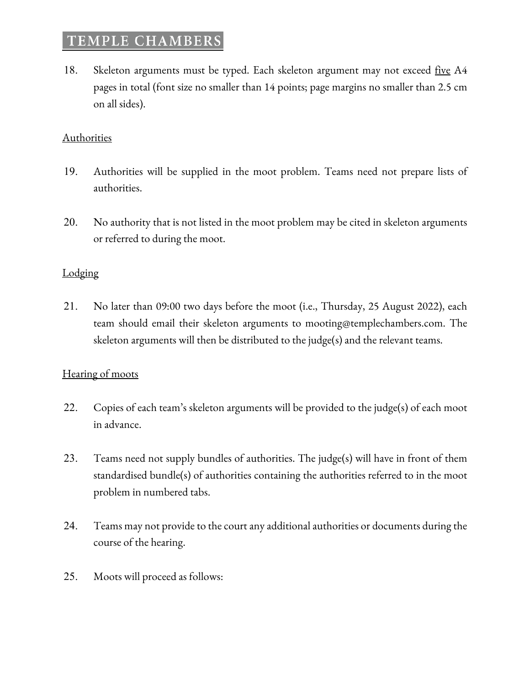18. Skeleton arguments must be typed. Each skeleton argument may not exceed <u>five</u> A4 pages in total (font size no smaller than 14 points; page margins no smaller than 2.5 cm on all sides).

#### **Authorities**

- 19. Authorities will be supplied in the moot problem. Teams need not prepare lists of authorities.
- 20. No authority that is not listed in the moot problem may be cited in skeleton arguments or referred to during the moot.

#### **Lodging**

21. No later than 09:00 two days before the moot (i.e., Thursday, 25 August 2022), each team should email their skeleton arguments to mooting@templechambers.com. The skeleton arguments will then be distributed to the judge(s) and the relevant teams.

#### Hearing of moots

- 22. Copies of each team's skeleton arguments will be provided to the judge(s) of each moot in advance.
- 23. Teams need not supply bundles of authorities. The judge(s) will have in front of them standardised bundle(s) of authorities containing the authorities referred to in the moot problem in numbered tabs.
- 24. Teams may not provide to the court any additional authorities or documents during the course of the hearing.
- 25. Moots will proceed as follows: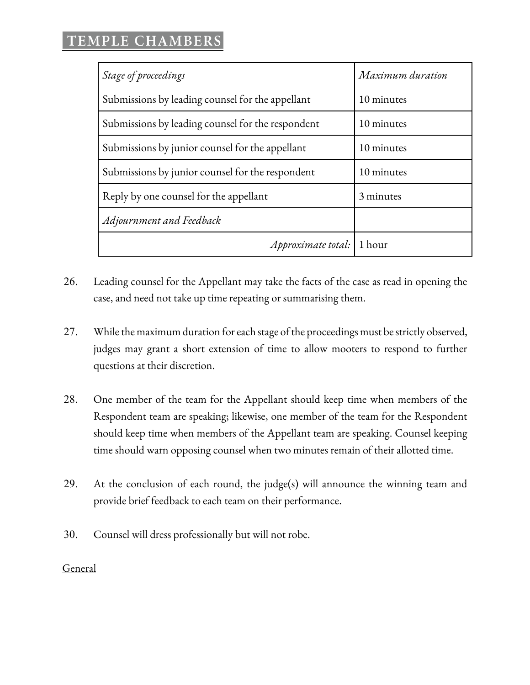| Stage of proceedings                              | Maximum duration |
|---------------------------------------------------|------------------|
| Submissions by leading counsel for the appellant  | 10 minutes       |
| Submissions by leading counsel for the respondent | 10 minutes       |
| Submissions by junior counsel for the appellant   | 10 minutes       |
| Submissions by junior counsel for the respondent  | 10 minutes       |
| Reply by one counsel for the appellant            | 3 minutes        |
| Adjournment and Feedback                          |                  |
| Approximate total:                                | 1 hour           |

- 26. Leading counsel for the Appellant may take the facts of the case as read in opening the case, and need not take up time repeating or summarising them.
- 27. While the maximum duration for each stage of the proceedings must be strictly observed, judges may grant a short extension of time to allow mooters to respond to further questions at their discretion.
- 28. One member of the team for the Appellant should keep time when members of the Respondent team are speaking; likewise, one member of the team for the Respondent should keep time when members of the Appellant team are speaking. Counsel keeping time should warn opposing counsel when two minutes remain of their allotted time.
- 29. At the conclusion of each round, the judge(s) will announce the winning team and provide brief feedback to each team on their performance.
- 30. Counsel will dress professionally but will not robe.

General